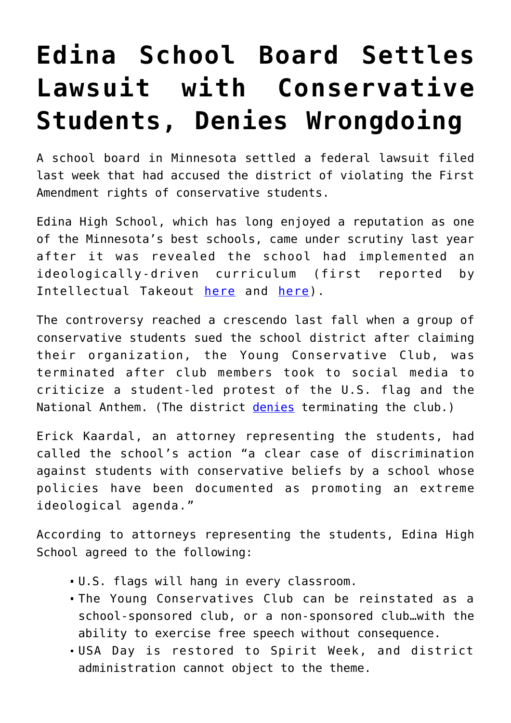## **[Edina School Board Settles](https://intellectualtakeout.org/2018/03/edina-school-board-settles-lawsuit-with-conservative-students-denies-wrongdoing/) [Lawsuit with Conservative](https://intellectualtakeout.org/2018/03/edina-school-board-settles-lawsuit-with-conservative-students-denies-wrongdoing/) [Students, Denies Wrongdoing](https://intellectualtakeout.org/2018/03/edina-school-board-settles-lawsuit-with-conservative-students-denies-wrongdoing/)**

A school board in Minnesota settled a federal lawsuit filed last week that had accused the district of violating the First Amendment rights of conservative students.

Edina High School, which has long enjoyed a reputation as one of the Minnesota's best schools, came under scrutiny last year after it was revealed the school had implemented an ideologically-driven curriculum (first reported by Intellectual Takeout [here](https://www.intellectualtakeout.org/blog/elementary-students-being-indoctrinated-minnesotas-top-school-district) and [here\)](https://www.intellectualtakeout.org/blog/not-all-parents-want-their-children-be-social-justice-warriors).

The controversy reached a crescendo last fall when a group of conservative students sued the school district after claiming their organization, the Young Conservative Club, was terminated after club members took to social media to criticize a student-led protest of the U.S. flag and the National Anthem. (The district [denies](https://www.edinaschools.org/site/default.aspx?PageType=3&DomainID=30&ModuleInstanceID=8566&ViewID=6446EE88-D30C-497E-9316-3F8874B3E108&RenderLoc=0&FlexDataID=18262&PageID=1682) terminating the club.)

Erick Kaardal, an attorney representing the students, had called the school's action "a clear case of discrimination against students with conservative beliefs by a school whose policies have been documented as promoting an extreme ideological agenda."

According to attorneys representing the students, Edina High School agreed to the following:

- U.S. flags will hang in every classroom.
- The Young Conservatives Club can be reinstated as a school-sponsored club, or a non-sponsored club…with the ability to exercise free speech without consequence.
- USA Day is restored to Spirit Week, and district administration cannot object to the theme.